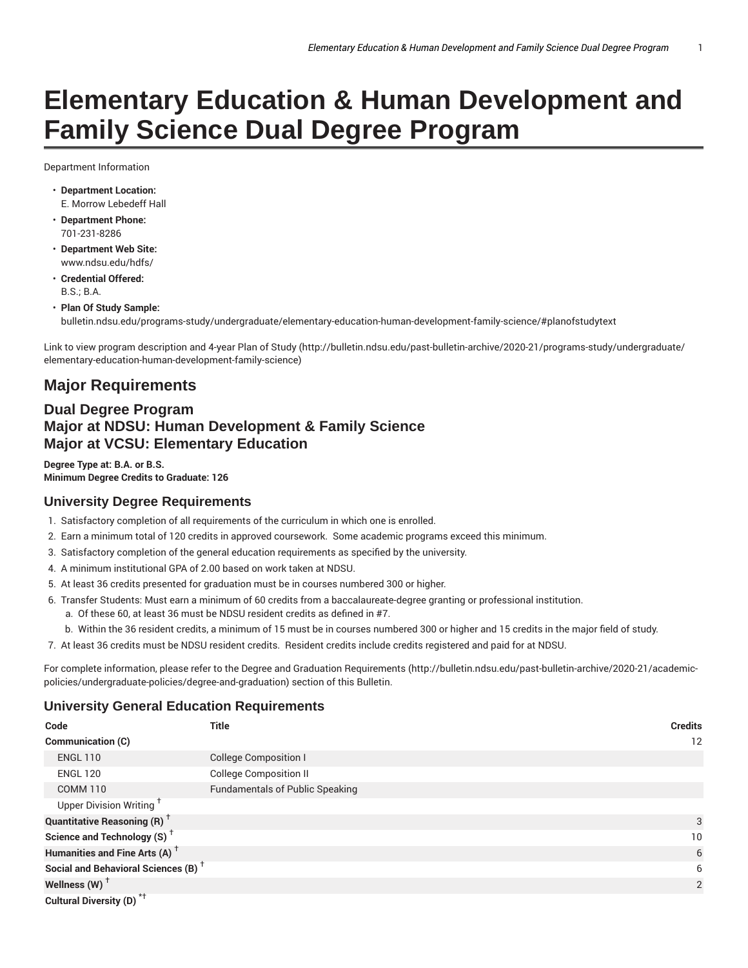# **Elementary Education & Human Development and Family Science Dual Degree Program**

Department Information

- **Department Location:** E. Morrow Lebedeff Hall
- **Department Phone:** 701-231-8286
- **Department Web Site:** www.ndsu.edu/hdfs/
- **Credential Offered:**  $BS - B A$
- **Plan Of Study Sample:** bulletin.ndsu.edu/programs-study/undergraduate/elementary-education-human-development-family-science/#planofstudytext

Link to view program description and 4-year Plan of Study (http://bulletin.ndsu.edu/past-bulletin-archive/2020-21/programs-study/undergraduate/ elementary-education-human-development-family-science)

## **Major Requirements**

### **Dual Degree Program Major at NDSU: Human Development & Family Science Major at VCSU: Elementary Education**

**Degree Type at: B.A. or B.S. Minimum Degree Credits to Graduate: 126**

#### **University Degree Requirements**

- 1. Satisfactory completion of all requirements of the curriculum in which one is enrolled.
- 2. Earn a minimum total of 120 credits in approved coursework. Some academic programs exceed this minimum.
- 3. Satisfactory completion of the general education requirements as specified by the university.
- 4. A minimum institutional GPA of 2.00 based on work taken at NDSU.
- 5. At least 36 credits presented for graduation must be in courses numbered 300 or higher.
- 6. Transfer Students: Must earn a minimum of 60 credits from a baccalaureate-degree granting or professional institution.
	- a. Of these 60, at least 36 must be NDSU resident credits as defined in #7.
	- b. Within the 36 resident credits, a minimum of 15 must be in courses numbered 300 or higher and 15 credits in the major field of study.
- 7. At least 36 credits must be NDSU resident credits. Resident credits include credits registered and paid for at NDSU.

For complete information, please refer to the Degree and Graduation Requirements (http://bulletin.ndsu.edu/past-bulletin-archive/2020-21/academicpolicies/undergraduate-policies/degree-and-graduation) section of this Bulletin.

#### **University General Education Requirements**

| Code                                                 | <b>Title</b>                           | <b>Credits</b>    |
|------------------------------------------------------|----------------------------------------|-------------------|
| Communication (C)                                    |                                        | $12 \overline{ }$ |
| <b>ENGL 110</b>                                      | College Composition I                  |                   |
| <b>ENGL 120</b>                                      | <b>College Composition II</b>          |                   |
| <b>COMM 110</b>                                      | <b>Fundamentals of Public Speaking</b> |                   |
| Upper Division Writing <sup>T</sup>                  |                                        |                   |
| <b>Quantitative Reasoning (R)</b> <sup>†</sup>       |                                        | 3                 |
| Science and Technology (S) <sup><math>+</math></sup> |                                        | 10                |
| Humanities and Fine Arts (A) <sup>+</sup>            |                                        | 6                 |
| Social and Behavioral Sciences (B) <sup>+</sup>      |                                        | 6                 |
| Wellness (W) $^{\dagger}$                            |                                        | 2                 |
| Cultural Diversity (D) <sup>*†</sup>                 |                                        |                   |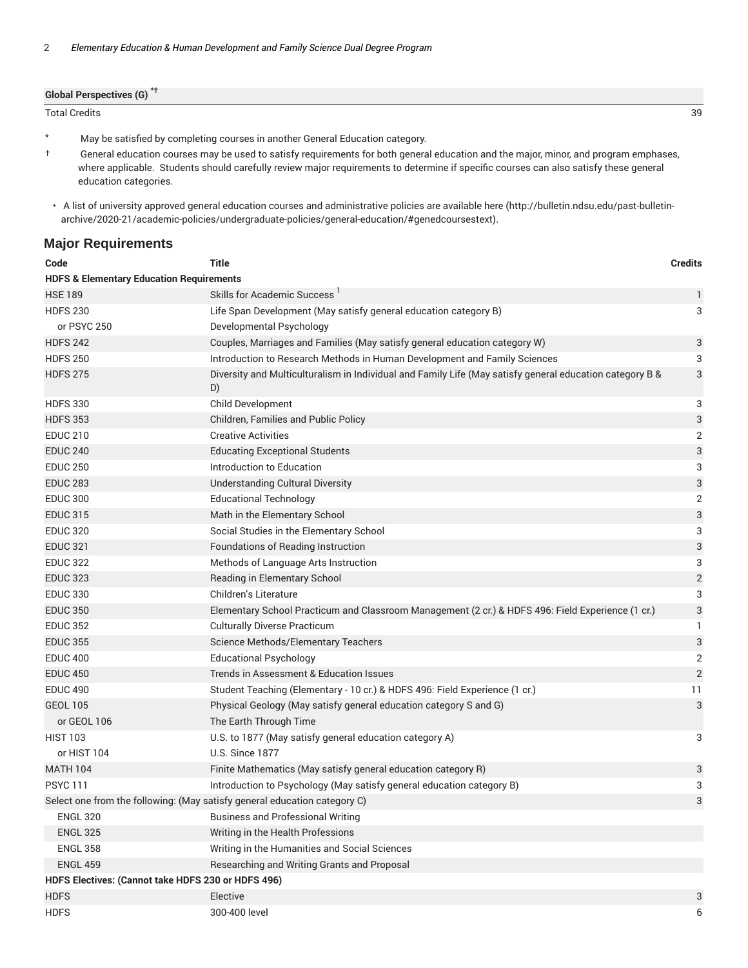| <b>Global Perspectives (G)</b> |    |
|--------------------------------|----|
| Total Credits                  | 39 |

\* May be satisfied by completing courses in another General Education category.

† General education courses may be used to satisfy requirements for both general education and the major, minor, and program emphases, where applicable. Students should carefully review major requirements to determine if specific courses can also satisfy these general education categories.

#### **Major Requirements**

| Code                                                | <b>Title</b>                                                                                                   | <b>Credits</b> |
|-----------------------------------------------------|----------------------------------------------------------------------------------------------------------------|----------------|
| <b>HDFS &amp; Elementary Education Requirements</b> |                                                                                                                |                |
| <b>HSE 189</b>                                      | Skills for Academic Success <sup>1</sup>                                                                       | 1              |
| <b>HDFS 230</b>                                     | Life Span Development (May satisfy general education category B)                                               | 3              |
| or PSYC 250                                         | Developmental Psychology                                                                                       |                |
| <b>HDFS 242</b>                                     | Couples, Marriages and Families (May satisfy general education category W)                                     | 3              |
| <b>HDFS 250</b>                                     | Introduction to Research Methods in Human Development and Family Sciences                                      | 3              |
| <b>HDFS 275</b>                                     | Diversity and Multiculturalism in Individual and Family Life (May satisfy general education category B &<br>D) | 3              |
| <b>HDFS 330</b>                                     | Child Development                                                                                              | 3              |
| <b>HDFS 353</b>                                     | Children, Families and Public Policy                                                                           | 3              |
| <b>EDUC 210</b>                                     | <b>Creative Activities</b>                                                                                     | $\overline{2}$ |
| <b>EDUC 240</b>                                     | <b>Educating Exceptional Students</b>                                                                          | 3              |
| <b>EDUC 250</b>                                     | Introduction to Education                                                                                      | 3              |
| <b>EDUC 283</b>                                     | <b>Understanding Cultural Diversity</b>                                                                        | 3              |
| <b>EDUC 300</b>                                     | <b>Educational Technology</b>                                                                                  | 2              |
| <b>EDUC 315</b>                                     | Math in the Elementary School                                                                                  | 3              |
| <b>EDUC 320</b>                                     | Social Studies in the Elementary School                                                                        | 3              |
| <b>EDUC 321</b>                                     | Foundations of Reading Instruction                                                                             | 3              |
| <b>EDUC 322</b>                                     | Methods of Language Arts Instruction                                                                           | 3              |
| <b>EDUC 323</b>                                     | Reading in Elementary School                                                                                   | $\sqrt{2}$     |
| <b>EDUC 330</b>                                     | Children's Literature                                                                                          | 3              |
| <b>EDUC 350</b>                                     | Elementary School Practicum and Classroom Management (2 cr.) & HDFS 496: Field Experience (1 cr.)              | $\sqrt{3}$     |
| <b>EDUC 352</b>                                     | <b>Culturally Diverse Practicum</b>                                                                            | 1              |
| <b>EDUC 355</b>                                     | Science Methods/Elementary Teachers                                                                            | 3              |
| <b>EDUC 400</b>                                     | <b>Educational Psychology</b>                                                                                  | $\overline{2}$ |
| <b>EDUC 450</b>                                     | Trends in Assessment & Education Issues                                                                        | $\overline{2}$ |
| <b>EDUC 490</b>                                     | Student Teaching (Elementary - 10 cr.) & HDFS 496: Field Experience (1 cr.)                                    | 11             |
| <b>GEOL 105</b>                                     | Physical Geology (May satisfy general education category S and G)                                              | $\mathbf{3}$   |
| or GEOL 106                                         | The Earth Through Time                                                                                         |                |
| <b>HIST 103</b>                                     | U.S. to 1877 (May satisfy general education category A)                                                        | 3              |
| or HIST 104                                         | <b>U.S. Since 1877</b>                                                                                         |                |
| <b>MATH 104</b>                                     | Finite Mathematics (May satisfy general education category R)                                                  | 3              |
| <b>PSYC111</b>                                      | Introduction to Psychology (May satisfy general education category B)                                          | 3              |
|                                                     | Select one from the following: (May satisfy general education category C)                                      | 3              |
| <b>ENGL 320</b>                                     | <b>Business and Professional Writing</b>                                                                       |                |
| <b>ENGL 325</b>                                     | Writing in the Health Professions                                                                              |                |
| <b>ENGL 358</b>                                     | Writing in the Humanities and Social Sciences                                                                  |                |
| <b>ENGL 459</b>                                     | Researching and Writing Grants and Proposal                                                                    |                |
| HDFS Electives: (Cannot take HDFS 230 or HDFS 496)  |                                                                                                                |                |
| <b>HDFS</b>                                         | Elective                                                                                                       | 3              |
| <b>HDFS</b>                                         | 300-400 level                                                                                                  | 6              |

<sup>•</sup> A list of university approved general education courses and administrative policies are available here (http://bulletin.ndsu.edu/past-bulletinarchive/2020-21/academic-policies/undergraduate-policies/general-education/#genedcoursestext).